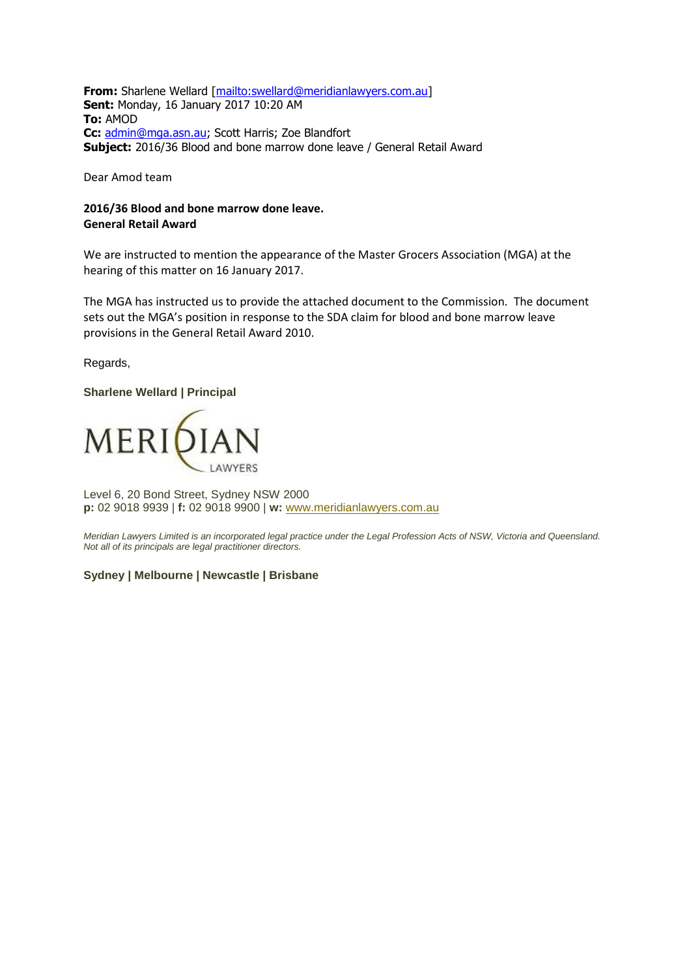**From:** Sharlene Wellard [\[mailto:swellard@meridianlawyers.com.au\]](mailto:swellard@meridianlawyers.com.au) **Sent:** Monday, 16 January 2017 10:20 AM **To:** AMOD **Cc:** [admin@mga.asn.au;](mailto:admin@mga.asn.au) Scott Harris; Zoe Blandfort **Subject:** 2016/36 Blood and bone marrow done leave / General Retail Award

Dear Amod team

## **2016/36 Blood and bone marrow done leave. General Retail Award**

We are instructed to mention the appearance of the Master Grocers Association (MGA) at the hearing of this matter on 16 January 2017.

The MGA has instructed us to provide the attached document to the Commission. The document sets out the MGA's position in response to the SDA claim for blood and bone marrow leave provisions in the General Retail Award 2010.

Regards,

### **Sharlene Wellard | Principal**



Level 6, 20 Bond Street, Sydney NSW 2000 **p:** 02 9018 9939 | **f:** 02 9018 9900 | **w:** [www.meridianlawyers.com.au](http://www.meridianlawyers.com.au/)

*Meridian Lawyers Limited is an incorporated legal practice under the Legal Profession Acts of NSW, Victoria and Queensland. Not all of its principals are legal practitioner directors.* 

### **Sydney | Melbourne | Newcastle | Brisbane**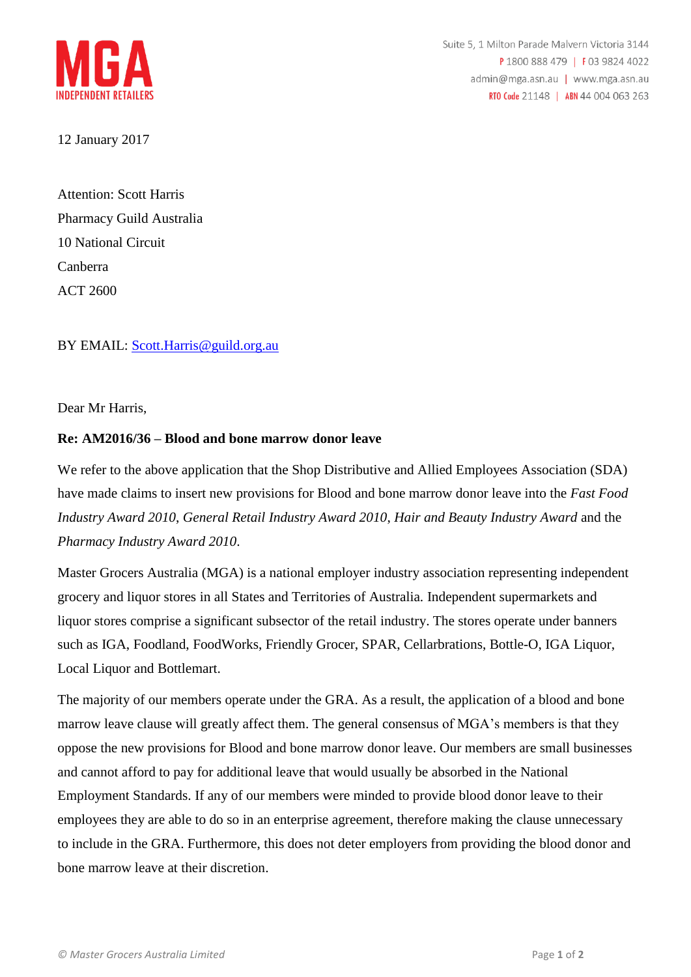

12 January 2017

Attention: Scott Harris Pharmacy Guild Australia 10 National Circuit Canberra ACT 2600

# BY EMAIL: [Scott.Harris@guild.org.au](mailto:Scott.Harris@guild.org.au)

Dear Mr Harris,

# **Re: AM2016/36 – Blood and bone marrow donor leave**

We refer to the above application that the Shop Distributive and Allied Employees Association (SDA) have made claims to insert new provisions for Blood and bone marrow donor leave into the *Fast Food Industry Award 2010*, *General Retail Industry Award 2010*, *Hair and Beauty Industry Award* and the *Pharmacy Industry Award 2010*.

Master Grocers Australia (MGA) is a national employer industry association representing independent grocery and liquor stores in all States and Territories of Australia. Independent supermarkets and liquor stores comprise a significant subsector of the retail industry. The stores operate under banners such as IGA, Foodland, FoodWorks, Friendly Grocer, SPAR, Cellarbrations, Bottle-O, IGA Liquor, Local Liquor and Bottlemart.

The majority of our members operate under the GRA. As a result, the application of a blood and bone marrow leave clause will greatly affect them. The general consensus of MGA's members is that they oppose the new provisions for Blood and bone marrow donor leave. Our members are small businesses and cannot afford to pay for additional leave that would usually be absorbed in the National Employment Standards. If any of our members were minded to provide blood donor leave to their employees they are able to do so in an enterprise agreement, therefore making the clause unnecessary to include in the GRA. Furthermore, this does not deter employers from providing the blood donor and bone marrow leave at their discretion.